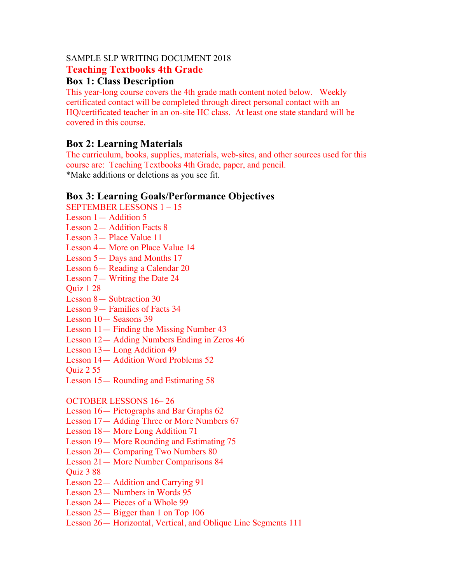#### SAMPLE SLP WRITING DOCUMENT 2018

#### **Teaching Textbooks 4th Grade**

# **Box 1: Class Description**

This year-long course covers the 4th grade math content noted below. Weekly certificated contact will be completed through direct personal contact with an HQ/certificated teacher in an on-site HC class. At least one state standard will be covered in this course.

## **Box 2: Learning Materials**

The curriculum, books, supplies, materials, web-sites, and other sources used for this course are: Teaching Textbooks 4th Grade, paper, and pencil. \*Make additions or deletions as you see fit.

## **Box 3: Learning Goals/Performance Objectives**

SEPTEMBER LESSONS 1 – 15

- Lesson 1— Addition 5
- Lesson 2— Addition Facts 8
- Lesson 3— Place Value 11
- Lesson 4— More on Place Value 14
- Lesson 5— Days and Months 17
- Lesson 6— Reading a Calendar 20
- Lesson 7— Writing the Date 24

Quiz 1 28

- Lesson 8— Subtraction 30
- Lesson 9— Families of Facts 34

Lesson 10— Seasons 39

- Lesson 11— Finding the Missing Number 43
- Lesson 12— Adding Numbers Ending in Zeros 46
- Lesson 13— Long Addition 49
- Lesson 14— Addition Word Problems 52

Quiz 2 55

Lesson 15— Rounding and Estimating 58

OCTOBER LESSONS 16– 26

- Lesson 16— Pictographs and Bar Graphs 62
- Lesson 17— Adding Three or More Numbers 67
- Lesson 18— More Long Addition 71
- Lesson 19— More Rounding and Estimating 75
- Lesson 20— Comparing Two Numbers 80
- Lesson 21— More Number Comparisons 84
- Quiz 3 88
- Lesson 22— Addition and Carrying 91
- Lesson 23— Numbers in Words 95
- Lesson 24— Pieces of a Whole 99
- Lesson 25— Bigger than 1 on Top 106
- Lesson 26— Horizontal, Vertical, and Oblique Line Segments 111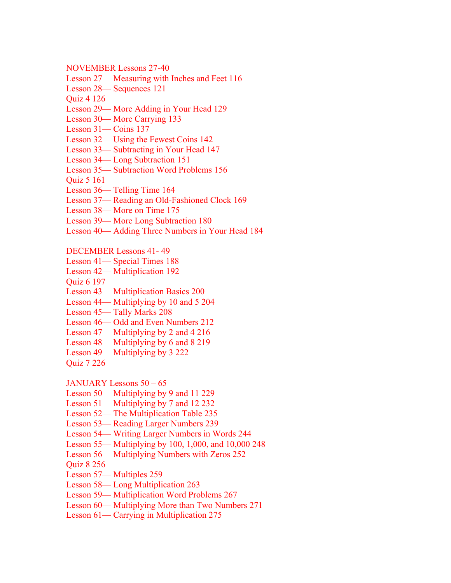NOVEMBER Lessons 27-40

Lesson 27— Measuring with Inches and Feet 116

Lesson 28— Sequences 121

Quiz 4 126

Lesson 29— More Adding in Your Head 129

Lesson 30— More Carrying 133

Lesson 31— Coins 137

Lesson 32— Using the Fewest Coins 142

Lesson 33— Subtracting in Your Head 147

Lesson 34— Long Subtraction 151

Lesson 35— Subtraction Word Problems 156

Quiz 5 161

Lesson 36— Telling Time 164

Lesson 37— Reading an Old-Fashioned Clock 169

Lesson 38— More on Time 175

Lesson 39— More Long Subtraction 180

Lesson 40— Adding Three Numbers in Your Head 184

DECEMBER Lessons 41- 49

Lesson 41— Special Times 188

Lesson 42— Multiplication 192

Quiz 6 197

Lesson 43— Multiplication Basics 200

Lesson 44— Multiplying by 10 and 5 204

Lesson 45— Tally Marks 208

Lesson 46— Odd and Even Numbers 212

Lesson 47— Multiplying by 2 and 4 216

Lesson 48— Multiplying by 6 and 8 219

Lesson 49— Multiplying by 3 222

Quiz 7 226

JANUARY Lessons 50 – 65

Lesson 50— Multiplying by 9 and 11 229

Lesson 51— Multiplying by 7 and 12 232

Lesson 52— The Multiplication Table 235

Lesson 53— Reading Larger Numbers 239

Lesson 54— Writing Larger Numbers in Words 244

Lesson 55— Multiplying by 100, 1,000, and 10,000 248

Lesson 56— Multiplying Numbers with Zeros 252

Quiz 8 256

Lesson 57— Multiples 259

Lesson 58— Long Multiplication 263

Lesson 59— Multiplication Word Problems 267

Lesson 60— Multiplying More than Two Numbers 271

Lesson 61— Carrying in Multiplication 275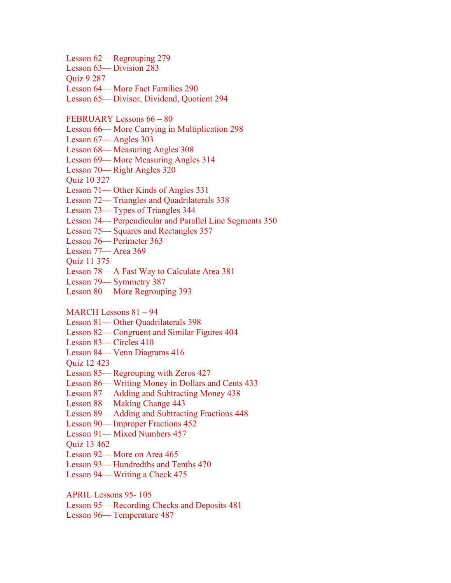Lesson 62— Regrouping 279 Lesson 63— Division 283 Quiz 9 287 Lesson 64— More Fact Families 290 Lesson 65— Divisor, Dividend, Quotient 294 FEBRUARY Lessons 66 – 80 Lesson 66— More Carrying in Multiplication 298 Lesson 67— Angles 303 Lesson 68— Measuring Angles 308 Lesson 69— More Measuring Angles 314 Lesson 70— Right Angles 320 Quiz 10 327 Lesson 71— Other Kinds of Angles 331 Lesson 72— Triangles and Quadrilaterals 338 Lesson 73— Types of Triangles 344 Lesson 74— Perpendicular and Parallel Line Segments 350 Lesson 75— Squares and Rectangles 357 Lesson 76— Perimeter 363 Lesson 77— Area 369 Quiz 11 375 Lesson 78— A Fast Way to Calculate Area 381 Lesson 79— Symmetry 387 Lesson 80— More Regrouping 393 MARCH Lessons 81 – 94 Lesson 81— Other Quadrilaterals 398 Lesson 82— Congruent and Similar Figures 404 Lesson 83— Circles 410 Lesson 84— Venn Diagrams 416 Quiz 12 423 Lesson 85— Regrouping with Zeros 427 Lesson 86— Writing Money in Dollars and Cents 433 Lesson 87— Adding and Subtracting Money 438 Lesson 88— Making Change 443 Lesson 89— Adding and Subtracting Fractions 448 Lesson 90— Improper Fractions 452 Lesson 91— Mixed Numbers 457 Quiz 13 462 Lesson 92— More on Area 465 Lesson 93— Hundredths and Tenths 470 Lesson 94— Writing a Check 475

APRIL Lessons 95- 105

Lesson 95— Recording Checks and Deposits 481

Lesson 96— Temperature 487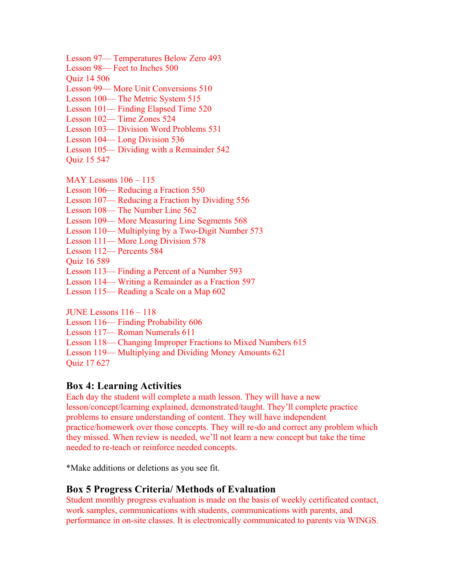Lesson 97— Temperatures Below Zero 493

Lesson 98— Feet to Inches 500

Quiz 14 506

Lesson 99— More Unit Conversions 510

Lesson 100— The Metric System 515

Lesson 101— Finding Elapsed Time 520

Lesson 102— Time Zones 524

Lesson 103— Division Word Problems 531

Lesson 104— Long Division 536

Lesson 105— Dividing with a Remainder 542

Quiz 15 547

MAY Lessons 106 – 115

Lesson 106— Reducing a Fraction 550

Lesson 107— Reducing a Fraction by Dividing 556

Lesson 108— The Number Line 562

Lesson 109— More Measuring Line Segments 568

Lesson 110— Multiplying by a Two-Digit Number 573

Lesson 111— More Long Division 578

Lesson 112— Percents 584

Quiz 16 589

Lesson 113— Finding a Percent of a Number 593

Lesson 114— Writing a Remainder as a Fraction 597

Lesson 115— Reading a Scale on a Map 602

JUNE Lessons 116 – 118

Lesson 116— Finding Probability 606

Lesson 117— Roman Numerals 611

Lesson 118— Changing Improper Fractions to Mixed Numbers 615

Lesson 119— Multiplying and Dividing Money Amounts 621 Quiz 17 627

## **Box 4: Learning Activities**

Each day the student will complete a math lesson. They will have a new lesson/concept/learning explained, demonstrated/taught. They'll complete practice problems to ensure understanding of content. They will have independent practice/homework over those concepts. They will re-do and correct any problem which they missed. When review is needed, we'll not learn a new concept but take the time needed to re-teach or reinforce needed concepts.

\*Make additions or deletions as you see fit.

## **Box 5 Progress Criteria/ Methods of Evaluation**

Student monthly progress evaluation is made on the basis of weekly certificated contact, work samples, communications with students, communications with parents, and performance in on-site classes. It is electronically communicated to parents via WINGS.